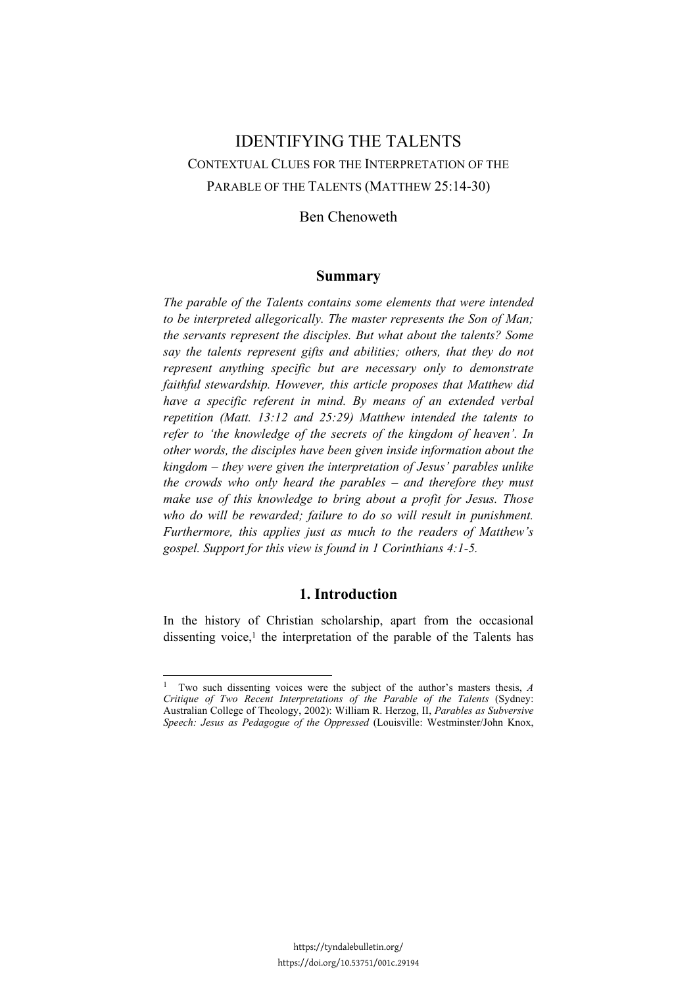# IDENTIFYING THE TALENTS CONTEXTUAL CLUES FOR THE INTERPRETATION OF THE PARABLE OF THE TALENTS (MATTHEW 25:14-30)

## Ben Chenoweth

## **Summary**

*The parable of the Talents contains some elements that were intended to be interpreted allegorically. The master represents the Son of Man; the servants represent the disciples. But what about the talents? Some say the talents represent gifts and abilities; others, that they do not represent anything specific but are necessary only to demonstrate faithful stewardship. However, this article proposes that Matthew did have a specific referent in mind. By means of an extended verbal repetition (Matt. 13:12 and 25:29) Matthew intended the talents to refer to 'the knowledge of the secrets of the kingdom of heaven'. In other words, the disciples have been given inside information about the kingdom – they were given the interpretation of Jesus' parables unlike the crowds who only heard the parables – and therefore they must make use of this knowledge to bring about a profit for Jesus. Those*  who do will be rewarded; failure to do so will result in punishment. *Furthermore, this applies just as much to the readers of Matthew's gospel. Support for this view is found in 1 Corinthians 4:1-5.* 

## **1. Introduction**

In the history of Christian scholarship, apart from the occasional dissenting voice,<sup>1</sup> the interpretation of the parable of the Talents has

<sup>1</sup> Two such dissenting voices were the subject of the author's masters thesis, *A Critique of Two Recent Interpretations of the Parable of the Talents* (Sydney: Australian College of Theology, 2002): William R. Herzog, II, *Parables as Subversive Speech: Jesus as Pedagogue of the Oppressed* (Louisville: Westminster/John Knox,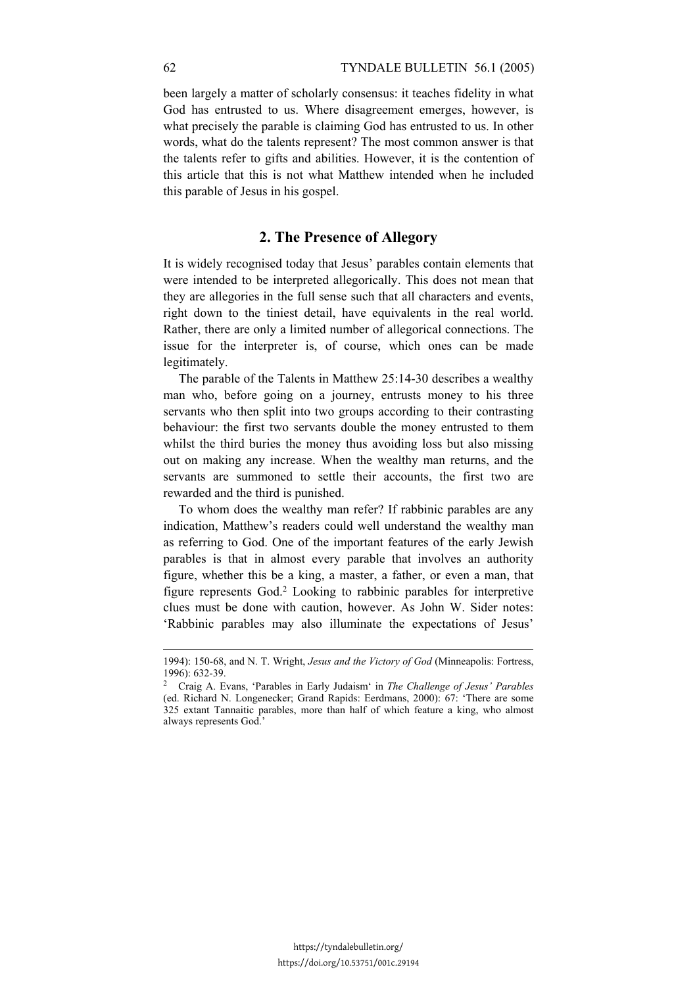been largely a matter of scholarly consensus: it teaches fidelity in what God has entrusted to us. Where disagreement emerges, however, is what precisely the parable is claiming God has entrusted to us. In other words, what do the talents represent? The most common answer is that the talents refer to gifts and abilities. However, it is the contention of this article that this is not what Matthew intended when he included this parable of Jesus in his gospel.

## **2. The Presence of Allegory**

It is widely recognised today that Jesus' parables contain elements that were intended to be interpreted allegorically. This does not mean that they are allegories in the full sense such that all characters and events, right down to the tiniest detail, have equivalents in the real world. Rather, there are only a limited number of allegorical connections. The issue for the interpreter is, of course, which ones can be made legitimately.

The parable of the Talents in Matthew 25:14-30 describes a wealthy man who, before going on a journey, entrusts money to his three servants who then split into two groups according to their contrasting behaviour: the first two servants double the money entrusted to them whilst the third buries the money thus avoiding loss but also missing out on making any increase. When the wealthy man returns, and the servants are summoned to settle their accounts, the first two are rewarded and the third is punished.

To whom does the wealthy man refer? If rabbinic parables are any indication, Matthew's readers could well understand the wealthy man as referring to God. One of the important features of the early Jewish parables is that in almost every parable that involves an authority figure, whether this be a king, a master, a father, or even a man, that figure represents God.2 Looking to rabbinic parables for interpretive clues must be done with caution, however. As John W. Sider notes: 'Rabbinic parables may also illuminate the expectations of Jesus'

<sup>1994): 150-68,</sup> and N. T. Wright, *Jesus and the Victory of God* (Minneapolis: Fortress, 1996): 632-39.

<sup>2</sup> Craig A. Evans, 'Parables in Early Judaism' in *The Challenge of Jesus' Parables* (ed. Richard N. Longenecker; Grand Rapids: Eerdmans, 2000): 67: 'There are some 325 extant Tannaitic parables, more than half of which feature a king, who almost always represents God.'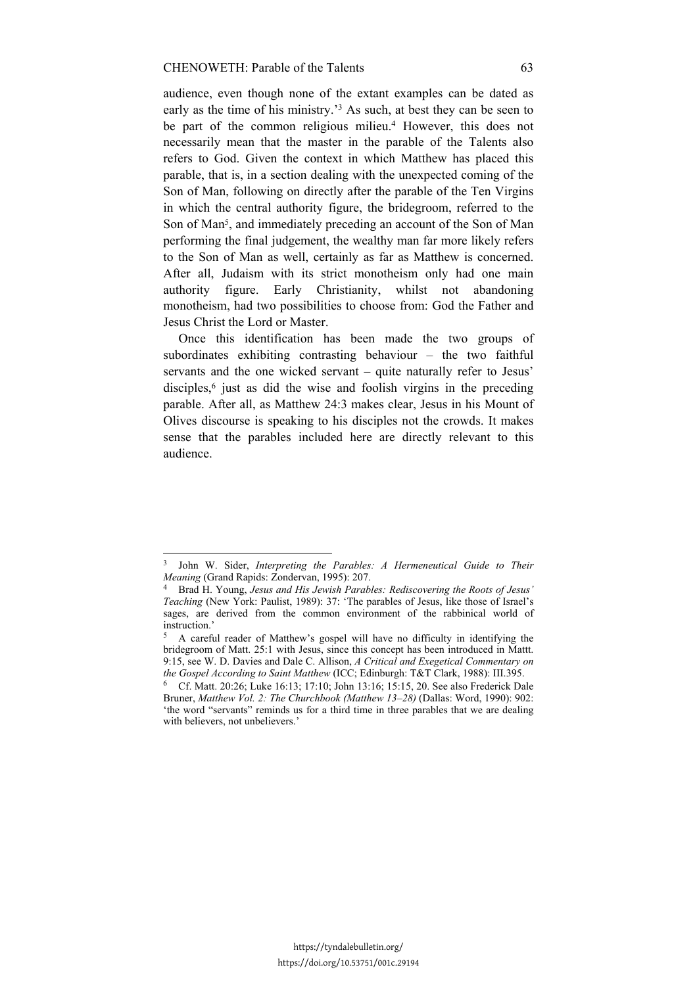audience, even though none of the extant examples can be dated as early as the time of his ministry.'3 As such, at best they can be seen to be part of the common religious milieu.<sup>4</sup> However, this does not necessarily mean that the master in the parable of the Talents also refers to God. Given the context in which Matthew has placed this parable, that is, in a section dealing with the unexpected coming of the Son of Man, following on directly after the parable of the Ten Virgins in which the central authority figure, the bridegroom, referred to the Son of Man5, and immediately preceding an account of the Son of Man performing the final judgement, the wealthy man far more likely refers to the Son of Man as well, certainly as far as Matthew is concerned. After all, Judaism with its strict monotheism only had one main authority figure. Early Christianity, whilst not abandoning monotheism, had two possibilities to choose from: God the Father and Jesus Christ the Lord or Master.

Once this identification has been made the two groups of subordinates exhibiting contrasting behaviour – the two faithful servants and the one wicked servant – quite naturally refer to Jesus' disciples,<sup>6</sup> just as did the wise and foolish virgins in the preceding parable. After all, as Matthew 24:3 makes clear, Jesus in his Mount of Olives discourse is speaking to his disciples not the crowds. It makes sense that the parables included here are directly relevant to this audience.

<sup>3</sup> John W. Sider, *Interpreting the Parables: A Hermeneutical Guide to Their* 

<sup>&</sup>lt;sup>4</sup> Brad H. Young, *Jesus and His Jewish Parables: Rediscovering the Roots of Jesus' Teaching* (New York: Paulist, 1989): 37: 'The parables of Jesus, like those of Israel's sages, are derived from the common environment of the rabbinical world of instruction<sup>3</sup>

<sup>5</sup> A careful reader of Matthew's gospel will have no difficulty in identifying the bridegroom of Matt. 25:1 with Jesus, since this concept has been introduced in Mattt. 9:15, see W. D. Davies and Dale C. Allison, *A Critical and Exegetical Commentary on the Gospel According to Saint Matthew* (ICC; Edinburgh: T&T Clark, 1988): III.395.<br><sup>6</sup> Cf. Matt. 20:26; Luke 16:13; 17:10; John 13:16; 15:15, 20. See also Frederick Dale

Bruner, *Matthew Vol. 2: The Churchbook (Matthew 13–28)* (Dallas: Word, 1990): 902: 'the word "servants" reminds us for a third time in three parables that we are dealing with believers, not unbelievers.'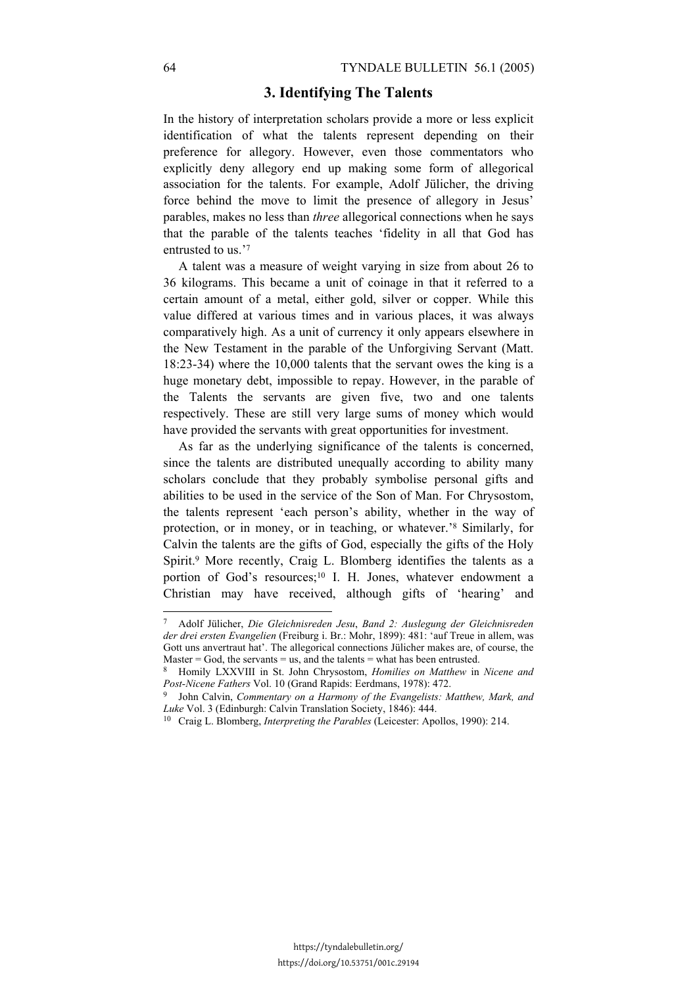#### **3. Identifying The Talents**

In the history of interpretation scholars provide a more or less explicit identification of what the talents represent depending on their preference for allegory. However, even those commentators who explicitly deny allegory end up making some form of allegorical association for the talents. For example, Adolf Jülicher, the driving force behind the move to limit the presence of allegory in Jesus' parables, makes no less than *three* allegorical connections when he says that the parable of the talents teaches 'fidelity in all that God has entrusted to us.'7

A talent was a measure of weight varying in size from about 26 to 36 kilograms. This became a unit of coinage in that it referred to a certain amount of a metal, either gold, silver or copper. While this value differed at various times and in various places, it was always comparatively high. As a unit of currency it only appears elsewhere in the New Testament in the parable of the Unforgiving Servant (Matt. 18:23-34) where the 10,000 talents that the servant owes the king is a huge monetary debt, impossible to repay. However, in the parable of the Talents the servants are given five, two and one talents respectively. These are still very large sums of money which would have provided the servants with great opportunities for investment.

As far as the underlying significance of the talents is concerned, since the talents are distributed unequally according to ability many scholars conclude that they probably symbolise personal gifts and abilities to be used in the service of the Son of Man. For Chrysostom, the talents represent 'each person's ability, whether in the way of protection, or in money, or in teaching, or whatever.'8 Similarly, for Calvin the talents are the gifts of God, especially the gifts of the Holy Spirit.<sup>9</sup> More recently, Craig L. Blomberg identifies the talents as a portion of God's resources;<sup>10</sup> I. H. Jones, whatever endowment a Christian may have received, although gifts of 'hearing' and

 $\overline{a}$ 

<sup>7</sup> Adolf Jülicher, *Die Gleichnisreden Jesu*, *Band 2: Auslegung der Gleichnisreden der drei ersten Evangelien* (Freiburg i. Br.: Mohr, 1899): 481: 'auf Treue in allem, was Gott uns anvertraut hat'. The allegorical connections Jülicher makes are, of course, the Master  $=$  God, the servants  $=$  us, and the talents  $=$  what has been entrusted.

<sup>8</sup> Homily LXXVIII in St. John Chrysostom, *Homilies on Matthew* in *Nicene and Post-Nicene Fathers* Vol. 10 (Grand Rapids: Eerdmans, 1978): 472.<br><sup>9</sup> John Calvin, *Commentary on a Harmony of the Evangelists: Matthew, Mark, and* 

*Luke* Vol. 3 (Edinburgh: Calvin Translation Society, 1846): 444. 10 Craig L. Blomberg, *Interpreting the Parables* (Leicester: Apollos, 1990): 214.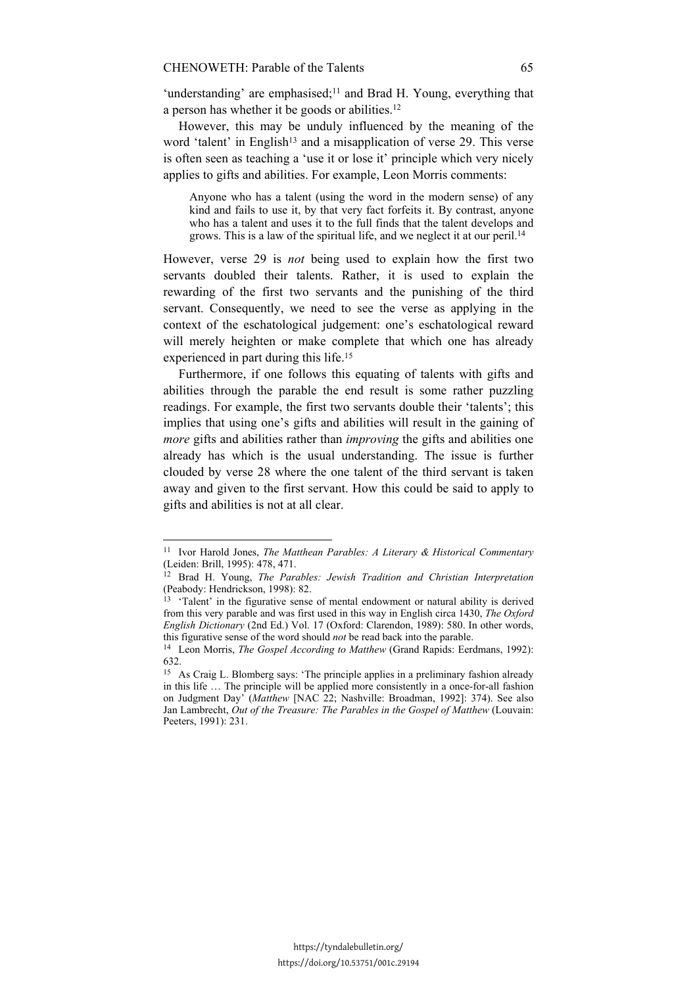'understanding' are emphasised;<sup>11</sup> and Brad H. Young, everything that a person has whether it be goods or abilities.12

However, this may be unduly influenced by the meaning of the word 'talent' in English<sup>13</sup> and a misapplication of verse 29. This verse is often seen as teaching a 'use it or lose it' principle which very nicely applies to gifts and abilities. For example, Leon Morris comments:

Anyone who has a talent (using the word in the modern sense) of any kind and fails to use it, by that very fact forfeits it. By contrast, anyone who has a talent and uses it to the full finds that the talent develops and grows. This is a law of the spiritual life, and we neglect it at our peril.14

However, verse 29 is *not* being used to explain how the first two servants doubled their talents. Rather, it is used to explain the rewarding of the first two servants and the punishing of the third servant. Consequently, we need to see the verse as applying in the context of the eschatological judgement: one's eschatological reward will merely heighten or make complete that which one has already experienced in part during this life.15

Furthermore, if one follows this equating of talents with gifts and abilities through the parable the end result is some rather puzzling readings. For example, the first two servants double their 'talents'; this implies that using one's gifts and abilities will result in the gaining of *more* gifts and abilities rather than *improving* the gifts and abilities one already has which is the usual understanding. The issue is further clouded by verse 28 where the one talent of the third servant is taken away and given to the first servant. How this could be said to apply to gifts and abilities is not at all clear.

 $\overline{a}$ 

<sup>11</sup> Ivor Harold Jones, *The Matthean Parables: A Literary & Historical Commentary* (Leiden: Brill, 1995): 478, 471.

<sup>12</sup> Brad H. Young, *The Parables: Jewish Tradition and Christian Interpretation* (Peabody: Hendrickson, 1998): 82.

 $13$  'Talent' in the figurative sense of mental endowment or natural ability is derived from this very parable and was first used in this way in English circa 1430, *The Oxford English Dictionary* (2nd Ed.) Vol. 17 (Oxford: Clarendon, 1989): 580. In other words, this figurative sense of the word should *not* be read back into the parable. 14 Leon Morris, *The Gospel According to Matthew* (Grand Rapids: Eerdmans, 1992):

<sup>632.</sup> 

<sup>15</sup> As Craig L. Blomberg says: 'The principle applies in a preliminary fashion already in this life … The principle will be applied more consistently in a once-for-all fashion on Judgment Day' (*Matthew* [NAC 22; Nashville: Broadman, 1992]: 374). See also Jan Lambrecht, *Out of the Treasure: The Parables in the Gospel of Matthew* (Louvain: Peeters, 1991): 231.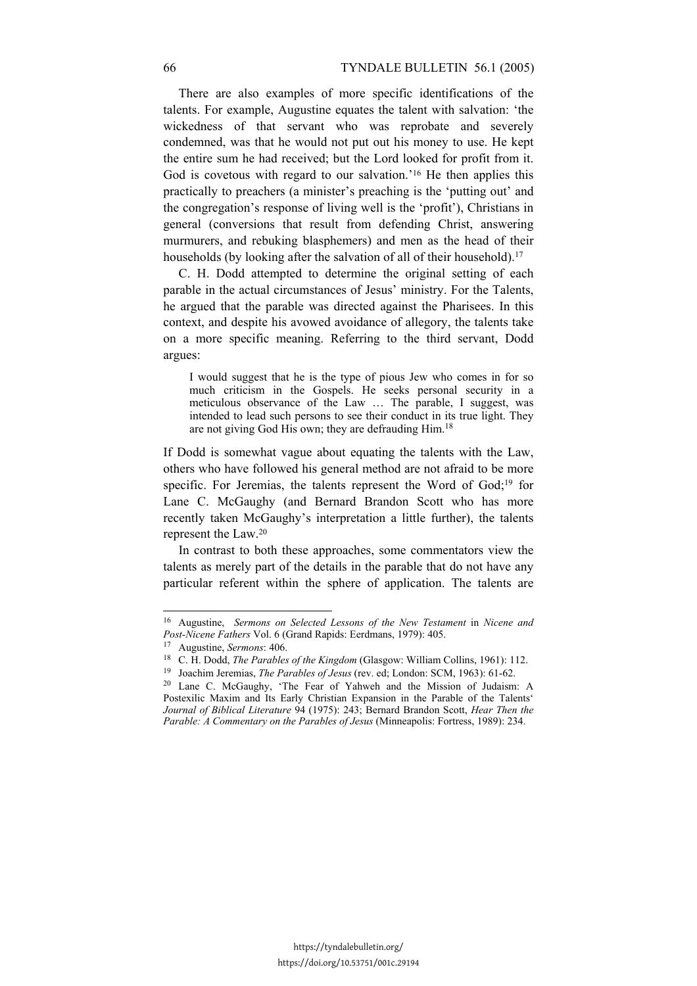There are also examples of more specific identifications of the talents. For example, Augustine equates the talent with salvation: 'the wickedness of that servant who was reprobate and severely condemned, was that he would not put out his money to use. He kept the entire sum he had received; but the Lord looked for profit from it. God is covetous with regard to our salvation.'16 He then applies this practically to preachers (a minister's preaching is the 'putting out' and the congregation's response of living well is the 'profit'), Christians in general (conversions that result from defending Christ, answering murmurers, and rebuking blasphemers) and men as the head of their households (by looking after the salvation of all of their household).<sup>17</sup>

C. H. Dodd attempted to determine the original setting of each parable in the actual circumstances of Jesus' ministry. For the Talents, he argued that the parable was directed against the Pharisees. In this context, and despite his avowed avoidance of allegory, the talents take on a more specific meaning. Referring to the third servant, Dodd argues:

I would suggest that he is the type of pious Jew who comes in for so much criticism in the Gospels. He seeks personal security in a meticulous observance of the Law … The parable, I suggest, was intended to lead such persons to see their conduct in its true light. They are not giving God His own; they are defrauding Him.18

If Dodd is somewhat vague about equating the talents with the Law, others who have followed his general method are not afraid to be more specific. For Jeremias, the talents represent the Word of God;<sup>19</sup> for Lane C. McGaughy (and Bernard Brandon Scott who has more recently taken McGaughy's interpretation a little further), the talents represent the Law.20

In contrast to both these approaches, some commentators view the talents as merely part of the details in the parable that do not have any particular referent within the sphere of application. The talents are

<sup>16</sup> Augustine, *Sermons on Selected Lessons of the New Testament* in *Nicene and*  Post-Nicene Fathers Vol. 6 (Grand Rapids: Eerdmans, 1979): 405.<br>
<sup>17</sup> Augustine, *Sermons*: 406.<br>
<sup>18</sup> C. H. Dodd, *The Parables of the Kingdom* (Glasgow: William Collins, 1961): 112.<br>
<sup>19</sup> Joachim Jeremias, *The Parables* 

Postexilic Maxim and Its Early Christian Expansion in the Parable of the Talents' *Journal of Biblical Literature* 94 (1975): 243; Bernard Brandon Scott, *Hear Then the Parable: A Commentary on the Parables of Jesus* (Minneapolis: Fortress, 1989): 234.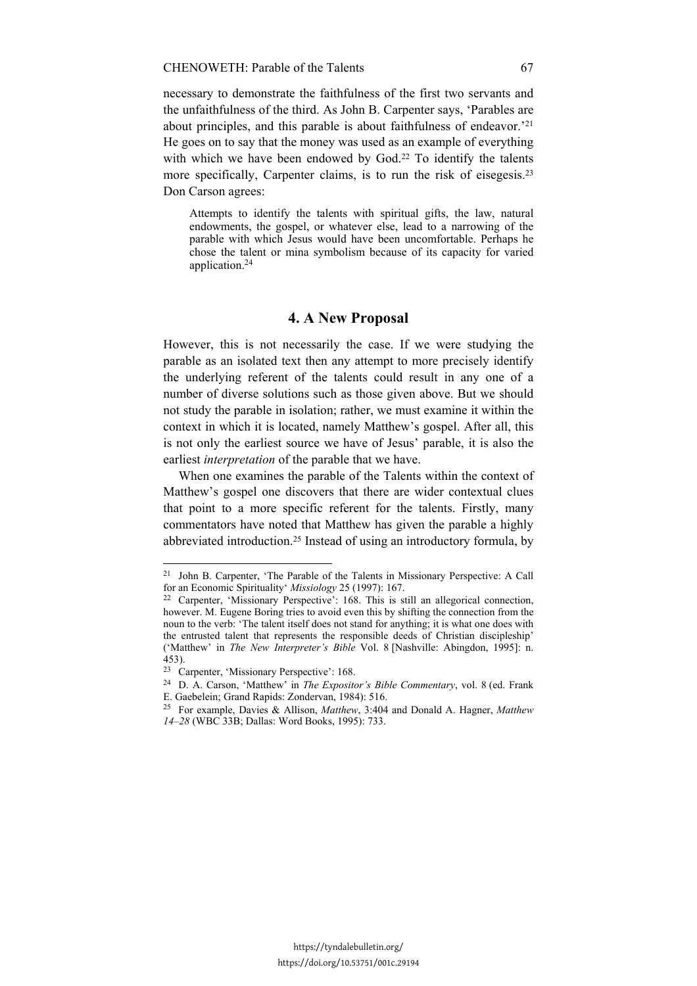necessary to demonstrate the faithfulness of the first two servants and the unfaithfulness of the third. As John B. Carpenter says, 'Parables are about principles, and this parable is about faithfulness of endeavor.'21 He goes on to say that the money was used as an example of everything with which we have been endowed by God.<sup>22</sup> To identify the talents more specifically, Carpenter claims, is to run the risk of eisegesis.23 Don Carson agrees:

Attempts to identify the talents with spiritual gifts, the law, natural endowments, the gospel, or whatever else, lead to a narrowing of the parable with which Jesus would have been uncomfortable. Perhaps he chose the talent or mina symbolism because of its capacity for varied application.24

#### **4. A New Proposal**

However, this is not necessarily the case. If we were studying the parable as an isolated text then any attempt to more precisely identify the underlying referent of the talents could result in any one of a number of diverse solutions such as those given above. But we should not study the parable in isolation; rather, we must examine it within the context in which it is located, namely Matthew's gospel. After all, this is not only the earliest source we have of Jesus' parable, it is also the earliest *interpretation* of the parable that we have.

When one examines the parable of the Talents within the context of Matthew's gospel one discovers that there are wider contextual clues that point to a more specific referent for the talents. Firstly, many commentators have noted that Matthew has given the parable a highly abbreviated introduction.25 Instead of using an introductory formula, by

<sup>21</sup> John B. Carpenter, 'The Parable of the Talents in Missionary Perspective: A Call

for an Economic Spirituality' *Missiology* 25 (1997): 167.<br><sup>22</sup> Carpenter, 'Missionary Perspective': 168. This is still an allegorical connection, however. M. Eugene Boring tries to avoid even this by shifting the connection from the noun to the verb: 'The talent itself does not stand for anything; it is what one does with the entrusted talent that represents the responsible deeds of Christian discipleship' ('Matthew' in *The New Interpreter's Bible* Vol. 8 [Nashville: Abingdon, 1995]: n. 453).

<sup>23</sup> Carpenter, 'Missionary Perspective': 168.

<sup>24</sup> D. A. Carson, 'Matthew' in *The Expositor's Bible Commentary*, vol. 8 (ed. Frank E. Gaebelein; Grand Rapids: Zondervan, 1984): 516.

<sup>25</sup> For example, Davies & Allison, *Matthew*, 3:404 and Donald A. Hagner, *Matthew 14–28* (WBC 33B; Dallas: Word Books, 1995): 733.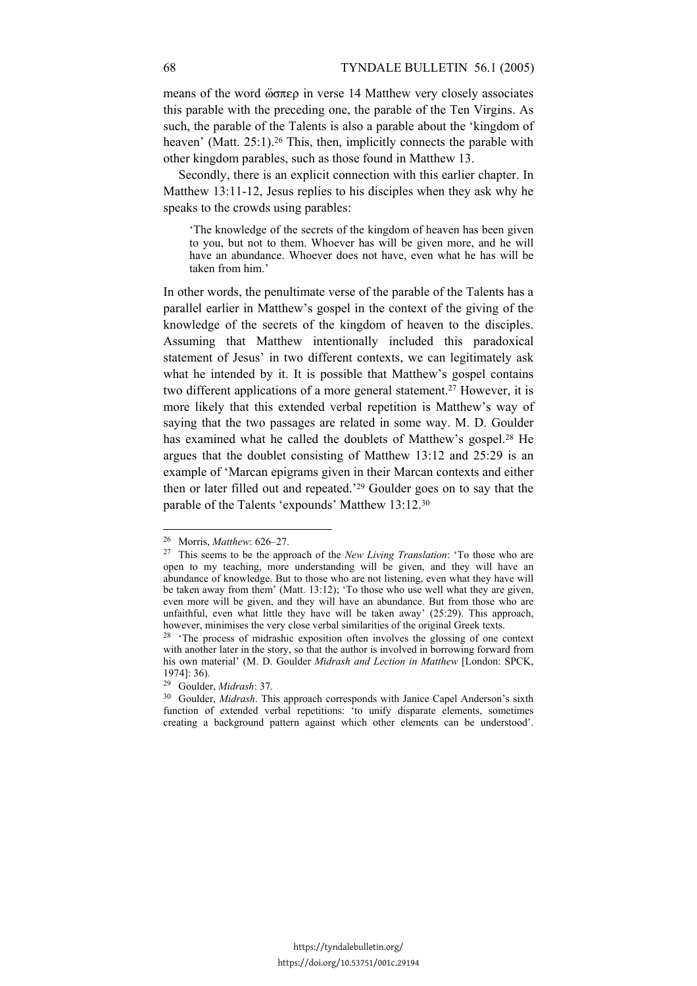means of the word  $\omega \sigma \pi \epsilon \rho$  in verse 14 Matthew very closely associates this parable with the preceding one, the parable of the Ten Virgins. As such, the parable of the Talents is also a parable about the 'kingdom of heaven' (Matt. 25:1).<sup>26</sup> This, then, implicitly connects the parable with other kingdom parables, such as those found in Matthew 13.

Secondly, there is an explicit connection with this earlier chapter. In Matthew 13:11-12, Jesus replies to his disciples when they ask why he speaks to the crowds using parables:

'The knowledge of the secrets of the kingdom of heaven has been given to you, but not to them. Whoever has will be given more, and he will have an abundance. Whoever does not have, even what he has will be taken from him.'

In other words, the penultimate verse of the parable of the Talents has a parallel earlier in Matthew's gospel in the context of the giving of the knowledge of the secrets of the kingdom of heaven to the disciples. Assuming that Matthew intentionally included this paradoxical statement of Jesus' in two different contexts, we can legitimately ask what he intended by it. It is possible that Matthew's gospel contains two different applications of a more general statement.<sup>27</sup> However, it is more likely that this extended verbal repetition is Matthew's way of saying that the two passages are related in some way. M. D. Goulder has examined what he called the doublets of Matthew's gospel.<sup>28</sup> He argues that the doublet consisting of Matthew 13:12 and 25:29 is an example of 'Marcan epigrams given in their Marcan contexts and either then or later filled out and repeated.'29 Goulder goes on to say that the parable of the Talents 'expounds' Matthew 13:12.30

 $\overline{a}$ 

<sup>26</sup> Morris, *Matthew*: 626–27. 27 This seems to be the approach of the *New Living Translation*: 'To those who are open to my teaching, more understanding will be given, and they will have an abundance of knowledge. But to those who are not listening, even what they have will be taken away from them' (Matt. 13:12); 'To those who use well what they are given, even more will be given, and they will have an abundance. But from those who are unfaithful, even what little they have will be taken away' (25:29). This approach, however, minimises the very close verbal similarities of the original Greek texts.

 $28$  'The process of midrashic exposition often involves the glossing of one context with another later in the story, so that the author is involved in borrowing forward from his own material' (M. D. Goulder *Midrash and Lection in Matthew* [London: SPCK, 1974]: 36).<br><sup>29</sup> Goulder, *Midrash*: 37.

<sup>&</sup>lt;sup>30</sup> Goulder, *Midrash*. This approach corresponds with Janice Capel Anderson's sixth function of extended verbal repetitions: 'to unify disparate elements, sometimes creating a background pattern against which other elements can be understood'.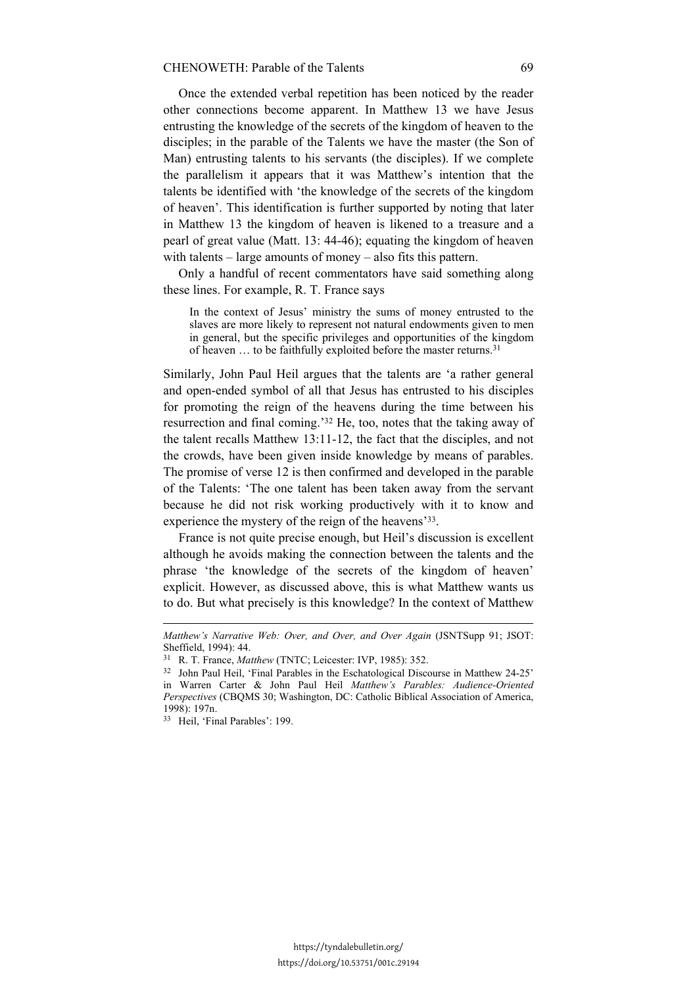Once the extended verbal repetition has been noticed by the reader other connections become apparent. In Matthew 13 we have Jesus entrusting the knowledge of the secrets of the kingdom of heaven to the disciples; in the parable of the Talents we have the master (the Son of Man) entrusting talents to his servants (the disciples). If we complete the parallelism it appears that it was Matthew's intention that the talents be identified with 'the knowledge of the secrets of the kingdom of heaven'. This identification is further supported by noting that later in Matthew 13 the kingdom of heaven is likened to a treasure and a pearl of great value (Matt. 13: 44-46); equating the kingdom of heaven with talents – large amounts of money – also fits this pattern.

Only a handful of recent commentators have said something along these lines. For example, R. T. France says

In the context of Jesus' ministry the sums of money entrusted to the slaves are more likely to represent not natural endowments given to men in general, but the specific privileges and opportunities of the kingdom of heaven ... to be faithfully exploited before the master returns.<sup>31</sup>

Similarly, John Paul Heil argues that the talents are 'a rather general and open-ended symbol of all that Jesus has entrusted to his disciples for promoting the reign of the heavens during the time between his resurrection and final coming.'32 He, too, notes that the taking away of the talent recalls Matthew 13:11-12, the fact that the disciples, and not the crowds, have been given inside knowledge by means of parables. The promise of verse 12 is then confirmed and developed in the parable of the Talents: 'The one talent has been taken away from the servant because he did not risk working productively with it to know and experience the mystery of the reign of the heavens'33.

France is not quite precise enough, but Heil's discussion is excellent although he avoids making the connection between the talents and the phrase 'the knowledge of the secrets of the kingdom of heaven' explicit. However, as discussed above, this is what Matthew wants us to do. But what precisely is this knowledge? In the context of Matthew

*Matthew's Narrative Web: Over, and Over, and Over Again* (JSNTSupp 91; JSOT: Sheffield, 1994): 44.

<sup>&</sup>lt;sup>31</sup> R. T. France, *Matthew* (TNTC; Leicester: IVP, 1985): 352.<br><sup>32</sup> John Paul Heil, 'Final Parables in the Eschatological Discourse in Matthew 24-25' in Warren Carter & John Paul Heil *Matthew's Parables: Audience-Oriented Perspectives* (CBQMS 30; Washington, DC: Catholic Biblical Association of America, 1998): 197n.

<sup>33</sup> Heil, 'Final Parables': 199.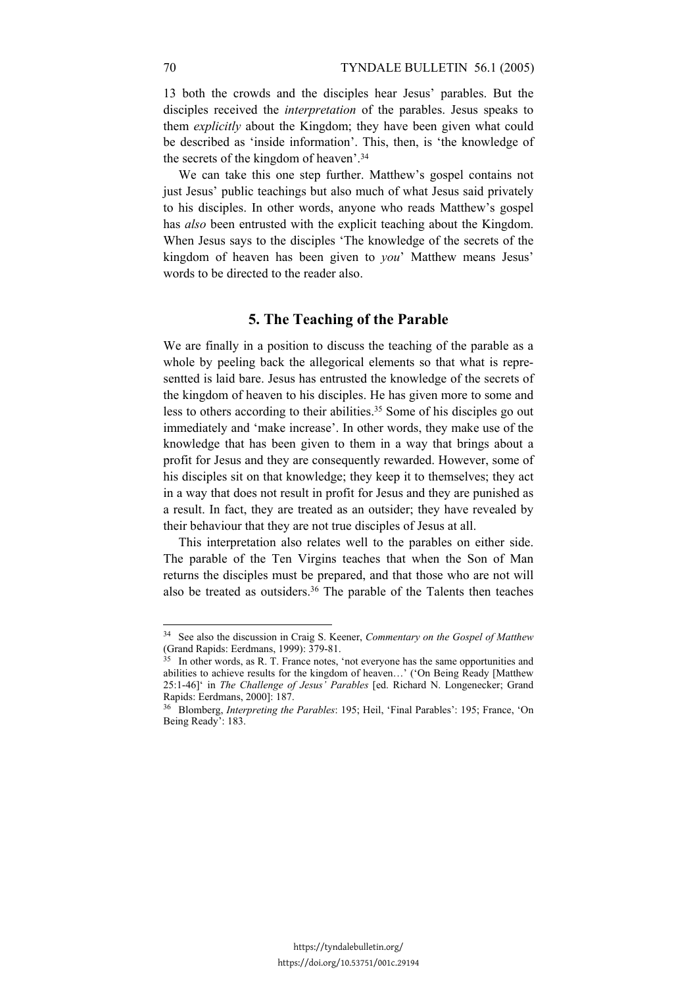13 both the crowds and the disciples hear Jesus' parables. But the disciples received the *interpretation* of the parables. Jesus speaks to them *explicitly* about the Kingdom; they have been given what could be described as 'inside information'. This, then, is 'the knowledge of the secrets of the kingdom of heaven'.34

We can take this one step further. Matthew's gospel contains not just Jesus' public teachings but also much of what Jesus said privately to his disciples. In other words, anyone who reads Matthew's gospel has *also* been entrusted with the explicit teaching about the Kingdom. When Jesus says to the disciples 'The knowledge of the secrets of the kingdom of heaven has been given to *you*' Matthew means Jesus' words to be directed to the reader also.

#### **5. The Teaching of the Parable**

We are finally in a position to discuss the teaching of the parable as a whole by peeling back the allegorical elements so that what is representted is laid bare. Jesus has entrusted the knowledge of the secrets of the kingdom of heaven to his disciples. He has given more to some and less to others according to their abilities.35 Some of his disciples go out immediately and 'make increase'. In other words, they make use of the knowledge that has been given to them in a way that brings about a profit for Jesus and they are consequently rewarded. However, some of his disciples sit on that knowledge; they keep it to themselves; they act in a way that does not result in profit for Jesus and they are punished as a result. In fact, they are treated as an outsider; they have revealed by their behaviour that they are not true disciples of Jesus at all.

This interpretation also relates well to the parables on either side. The parable of the Ten Virgins teaches that when the Son of Man returns the disciples must be prepared, and that those who are not will also be treated as outsiders.36 The parable of the Talents then teaches

<sup>34</sup> See also the discussion in Craig S. Keener, *Commentary on the Gospel of Matthew* (Grand Rapids: Eerdmans, 1999): 379-81.

<sup>&</sup>lt;sup>35</sup> In other words, as R. T. France notes, 'not everyone has the same opportunities and abilities to achieve results for the kingdom of heaven…' ('On Being Ready [Matthew 25:1-46]' in *The Challenge of Jesus' Parables* [ed. Richard N. Longenecker; Grand Rapids: Eerdmans, 2000]: 187.

<sup>36</sup> Blomberg, *Interpreting the Parables*: 195; Heil, 'Final Parables': 195; France, 'On Being Ready': 183.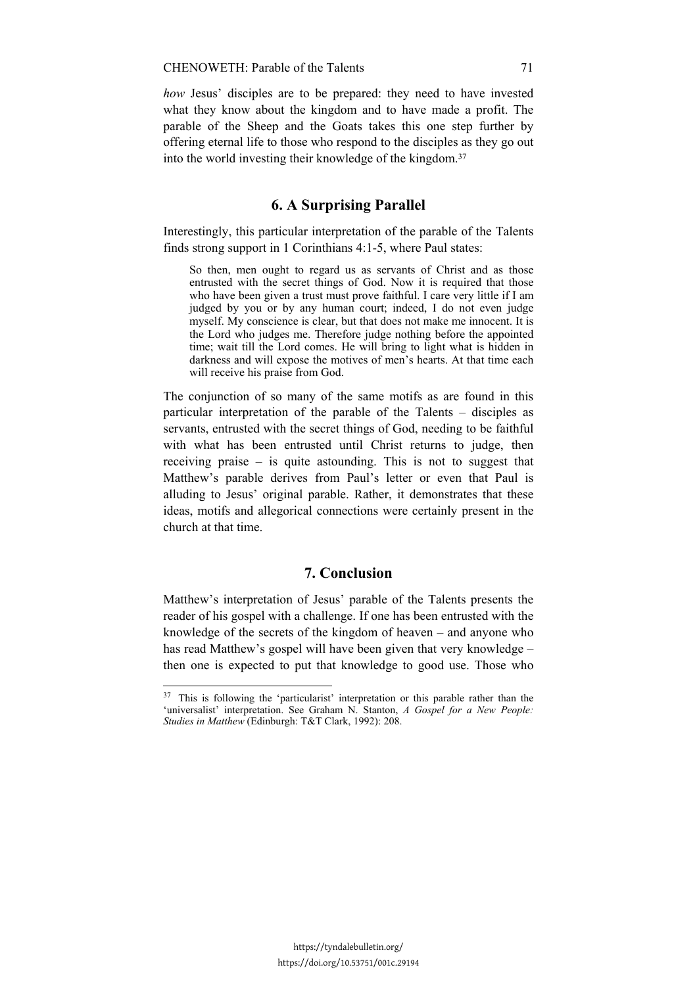*how* Jesus' disciples are to be prepared: they need to have invested what they know about the kingdom and to have made a profit. The parable of the Sheep and the Goats takes this one step further by offering eternal life to those who respond to the disciples as they go out into the world investing their knowledge of the kingdom.37

# **6. A Surprising Parallel**

Interestingly, this particular interpretation of the parable of the Talents finds strong support in 1 Corinthians 4:1-5, where Paul states:

So then, men ought to regard us as servants of Christ and as those entrusted with the secret things of God. Now it is required that those who have been given a trust must prove faithful. I care very little if I am judged by you or by any human court; indeed, I do not even judge myself. My conscience is clear, but that does not make me innocent. It is the Lord who judges me. Therefore judge nothing before the appointed time; wait till the Lord comes. He will bring to light what is hidden in darkness and will expose the motives of men's hearts. At that time each will receive his praise from God.

The conjunction of so many of the same motifs as are found in this particular interpretation of the parable of the Talents – disciples as servants, entrusted with the secret things of God, needing to be faithful with what has been entrusted until Christ returns to judge, then receiving praise – is quite astounding. This is not to suggest that Matthew's parable derives from Paul's letter or even that Paul is alluding to Jesus' original parable. Rather, it demonstrates that these ideas, motifs and allegorical connections were certainly present in the church at that time.

## **7. Conclusion**

Matthew's interpretation of Jesus' parable of the Talents presents the reader of his gospel with a challenge. If one has been entrusted with the knowledge of the secrets of the kingdom of heaven – and anyone who has read Matthew's gospel will have been given that very knowledge – then one is expected to put that knowledge to good use. Those who

<sup>&</sup>lt;sup>37</sup> This is following the 'particularist' interpretation or this parable rather than the 'universalist' interpretation. See Graham N. Stanton, *A Gospel for a New People: Studies in Matthew* (Edinburgh: T&T Clark, 1992): 208.